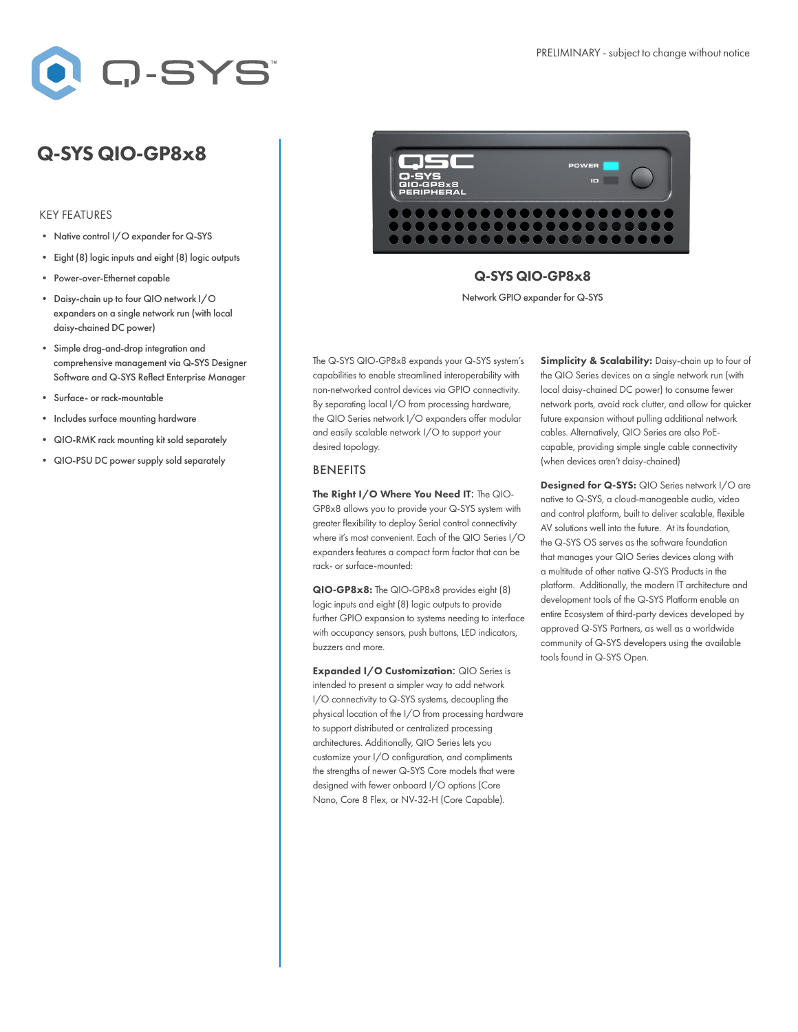

# Q-SYS QIO-GP8x8

### KEY FEATURES

- Native control I/O expander for Q-SYS
- Eight (8) logic inputs and eight (8) logic outputs
- Power-over-Ethernet capable
- Daisy-chain up to four QIO network I/O expanders on a single network run (with local daisy-chained DC power)
- Simple drag-and-drop integration and comprehensive management via Q-SYS Designer Software and Q-SYS Reflect Enterprise Manager
- Surface- or rack-mountable
- Includes surface mounting hardware
- QIO-RMK rack mounting kit sold separately
- QIO-PSU DC power supply sold separately



## Q-SYS QIO-GP8x8

Network GPIO expander for Q-SYS

The Q-SYS QIO-GP8x8 expands your Q-SYS system's capabilities to enable streamlined interoperability with non-networked control devices via GPIO connectivity. By separating local I/O from processing hardware, the QIO Series network I/O expanders offer modular and easily scalable network I/O to support your desired topology.

#### BENEFITS

The Right I/O Where You Need IT: The QIO-GP8x8 allows you to provide your Q-SYS system with greater flexibility to deploy Serial control connectivity where it's most convenient. Each of the QIO Series I/O expanders features a compact form factor that can be rack- or surface-mounted:

QIO-GP8x8: The QIO-GP8x8 provides eight (8) logic inputs and eight (8) logic outputs to provide further GPIO expansion to systems needing to interface with occupancy sensors, push buttons, LED indicators, buzzers and more.

Expanded I/O Customization: QIO Series is intended to present a simpler way to add network I/O connectivity to Q-SYS systems, decoupling the physical location of the I/O from processing hardware to support distributed or centralized processing architectures. Additionally, QIO Series lets you customize your I/O configuration, and compliments the strengths of newer Q-SYS Core models that were designed with fewer onboard I/O options (Core Nano, Core 8 Flex, or NV-32-H (Core Capable).

Simplicity & Scalability: Daisy-chain up to four of the QIO Series devices on a single network run (with local daisy-chained DC power) to consume fewer network ports, avoid rack clutter, and allow for quicker future expansion without pulling additional network cables. Alternatively, QIO Series are also PoEcapable, providing simple single cable connectivity (when devices aren't daisy-chained)

Designed for Q-SYS: QIO Series network I/O are native to Q-SYS, a cloud-manageable audio, video and control platform, built to deliver scalable, flexible AV solutions well into the future. At its foundation, the Q-SYS OS serves as the software foundation that manages your QIO Series devices along with a multitude of other native Q-SYS Products in the platform. Additionally, the modern IT architecture and development tools of the Q-SYS Platform enable an entire Ecosystem of third-party devices developed by approved Q-SYS Partners, as well as a worldwide community of Q-SYS developers using the available tools found in Q-SYS Open.